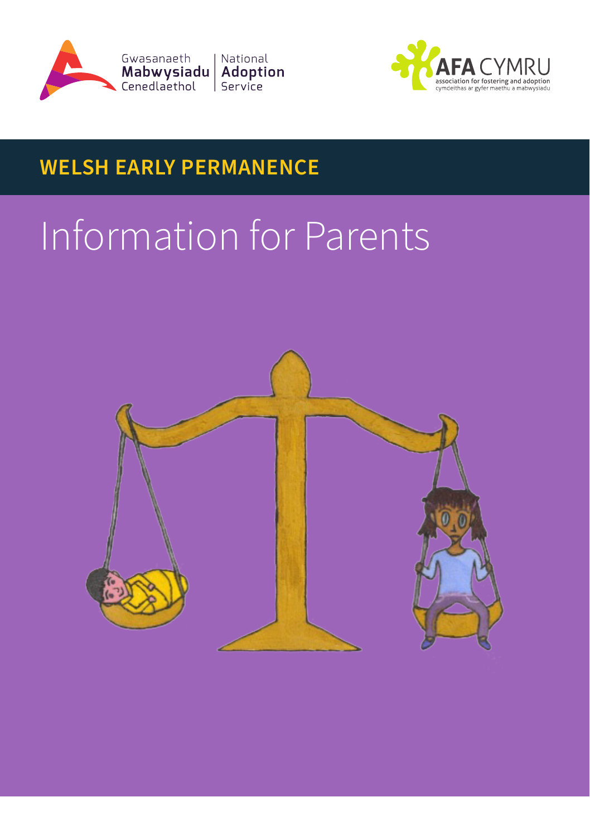



# **WELSH EARLY PERMANENCE**

# Information for Parents